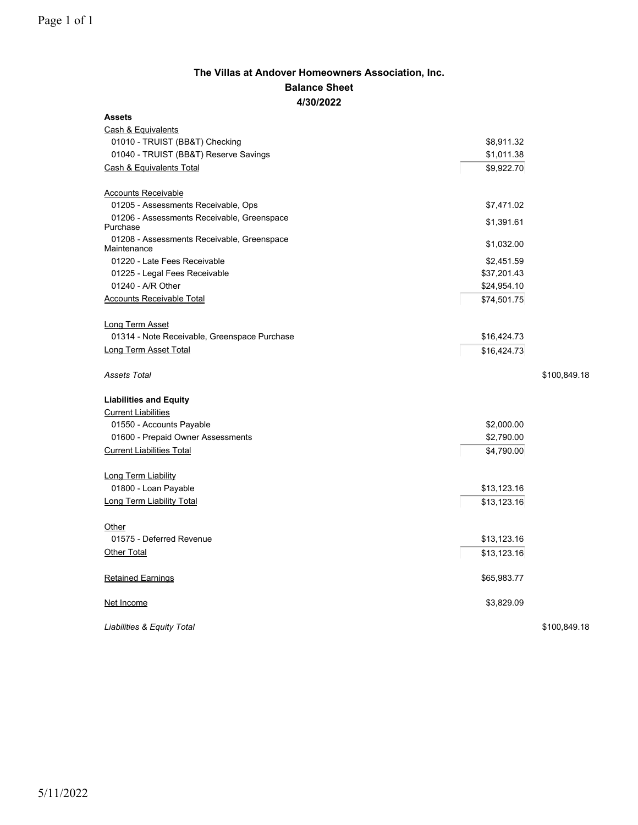## **The Villas at Andover Homeowners Association, Inc. Balance Sheet 4/30/2022**

| <b>Assets</b>                                             |              |  |  |  |  |  |
|-----------------------------------------------------------|--------------|--|--|--|--|--|
| Cash & Equivalents                                        |              |  |  |  |  |  |
| 01010 - TRUIST (BB&T) Checking                            | \$8,911.32   |  |  |  |  |  |
| 01040 - TRUIST (BB&T) Reserve Savings                     | \$1,011.38   |  |  |  |  |  |
| <b>Cash &amp; Equivalents Total</b>                       | \$9,922.70   |  |  |  |  |  |
| <b>Accounts Receivable</b>                                |              |  |  |  |  |  |
| 01205 - Assessments Receivable, Ops                       | \$7,471.02   |  |  |  |  |  |
| 01206 - Assessments Receivable, Greenspace<br>Purchase    | \$1,391.61   |  |  |  |  |  |
| 01208 - Assessments Receivable, Greenspace<br>Maintenance | \$1,032.00   |  |  |  |  |  |
| 01220 - Late Fees Receivable                              | \$2,451.59   |  |  |  |  |  |
| 01225 - Legal Fees Receivable                             | \$37,201.43  |  |  |  |  |  |
| 01240 - A/R Other                                         | \$24,954.10  |  |  |  |  |  |
| <b>Accounts Receivable Total</b>                          | \$74,501.75  |  |  |  |  |  |
| <b>Long Term Asset</b>                                    |              |  |  |  |  |  |
| 01314 - Note Receivable, Greenspace Purchase              | \$16,424.73  |  |  |  |  |  |
| Long Term Asset Total                                     | \$16,424.73  |  |  |  |  |  |
|                                                           |              |  |  |  |  |  |
| <b>Assets Total</b>                                       | \$100,849.18 |  |  |  |  |  |
| <b>Liabilities and Equity</b>                             |              |  |  |  |  |  |
| <b>Current Liabilities</b>                                |              |  |  |  |  |  |
| 01550 - Accounts Payable                                  | \$2,000.00   |  |  |  |  |  |
| 01600 - Prepaid Owner Assessments                         | \$2,790.00   |  |  |  |  |  |
| <b>Current Liabilities Total</b>                          | \$4,790.00   |  |  |  |  |  |
| Long Term Liability                                       |              |  |  |  |  |  |
| 01800 - Loan Payable                                      | \$13,123.16  |  |  |  |  |  |
| <b>Long Term Liability Total</b>                          | \$13,123.16  |  |  |  |  |  |
| Other                                                     |              |  |  |  |  |  |
| 01575 - Deferred Revenue                                  | \$13,123.16  |  |  |  |  |  |
| Other Total                                               | \$13,123.16  |  |  |  |  |  |
| <b>Retained Earnings</b>                                  | \$65,983.77  |  |  |  |  |  |
| Net Income                                                | \$3,829.09   |  |  |  |  |  |

*Liabilities & Equity Total* \$100,849.18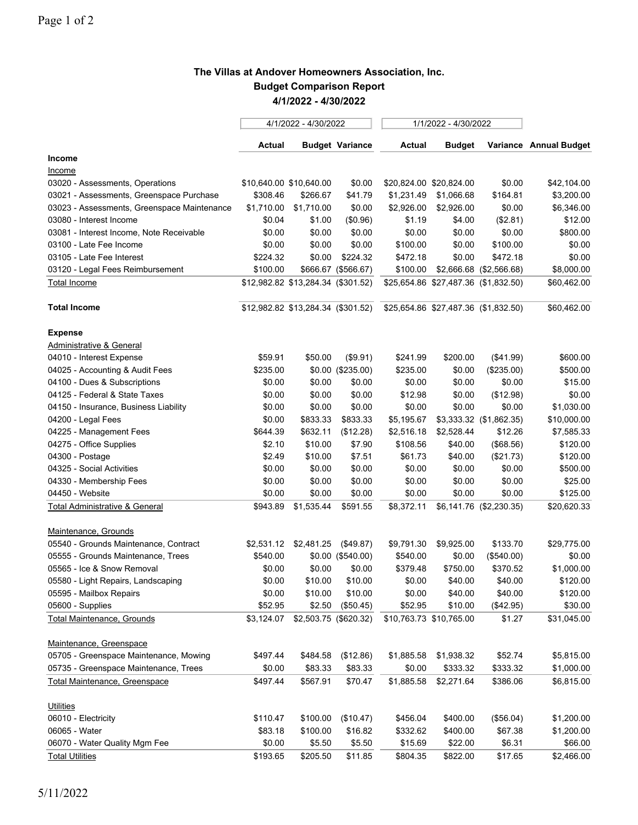## **The Villas at Andover Homeowners Association, Inc. Budget Comparison Report 4/1/2022 - 4/30/2022**

|                                             | 4/1/2022 - 4/30/2022               |                       |                        | 1/1/2022 - 4/30/2022    |                         |                                      |                        |
|---------------------------------------------|------------------------------------|-----------------------|------------------------|-------------------------|-------------------------|--------------------------------------|------------------------|
|                                             | Actual                             |                       | <b>Budget Variance</b> | Actual                  | <b>Budget</b>           |                                      | Variance Annual Budget |
| Income                                      |                                    |                       |                        |                         |                         |                                      |                        |
| Income                                      |                                    |                       |                        |                         |                         |                                      |                        |
| 03020 - Assessments, Operations             | \$10,640.00 \$10,640.00            |                       | \$0.00                 |                         | \$20,824.00 \$20,824.00 | \$0.00                               | \$42,104.00            |
| 03021 - Assessments, Greenspace Purchase    | \$308.46                           | \$266.67              | \$41.79                | \$1,231.49              | \$1,066.68              | \$164.81                             | \$3,200.00             |
| 03023 - Assessments, Greenspace Maintenance | \$1,710.00                         | \$1,710.00            | \$0.00                 | \$2,926.00              | \$2,926.00              | \$0.00                               | \$6,346.00             |
| 03080 - Interest Income                     | \$0.04                             | \$1.00                | (\$0.96)               | \$1.19                  | \$4.00                  | (\$2.81)                             | \$12.00                |
| 03081 - Interest Income, Note Receivable    | \$0.00                             | \$0.00                | \$0.00                 | \$0.00                  | \$0.00                  | \$0.00                               | \$800.00               |
| 03100 - Late Fee Income                     | \$0.00                             | \$0.00                | \$0.00                 | \$100.00                | \$0.00                  | \$100.00                             | \$0.00                 |
| 03105 - Late Fee Interest                   | \$224.32                           | \$0.00                | \$224.32               | \$472.18                | \$0.00                  | \$472.18                             | \$0.00                 |
| 03120 - Legal Fees Reimbursement            | \$100.00                           |                       | \$666.67 (\$566.67)    | \$100.00                |                         | \$2,666.68 (\$2,566.68)              | \$8,000.00             |
| <b>Total Income</b>                         | \$12,982.82 \$13,284.34 (\$301.52) |                       |                        |                         |                         | \$25,654.86 \$27,487.36 (\$1,832.50) | \$60,462.00            |
| <b>Total Income</b>                         | \$12,982.82 \$13,284.34 (\$301.52) |                       |                        |                         |                         | \$25,654.86 \$27,487.36 (\$1,832.50) | \$60,462.00            |
| <b>Expense</b>                              |                                    |                       |                        |                         |                         |                                      |                        |
| <b>Administrative &amp; General</b>         |                                    |                       |                        |                         |                         |                                      |                        |
| 04010 - Interest Expense                    | \$59.91                            | \$50.00               | (\$9.91)               | \$241.99                | \$200.00                | (\$41.99)                            | \$600.00               |
| 04025 - Accounting & Audit Fees             | \$235.00                           |                       | $$0.00$ (\$235.00)     | \$235.00                | \$0.00                  | (\$235.00)                           | \$500.00               |
| 04100 - Dues & Subscriptions                | \$0.00                             | \$0.00                | \$0.00                 | \$0.00                  | \$0.00                  | \$0.00                               | \$15.00                |
| 04125 - Federal & State Taxes               | \$0.00                             | \$0.00                | \$0.00                 | \$12.98                 | \$0.00                  | (\$12.98)                            | \$0.00                 |
| 04150 - Insurance, Business Liability       | \$0.00                             | \$0.00                | \$0.00                 | \$0.00                  | \$0.00                  | \$0.00                               | \$1,030.00             |
| 04200 - Legal Fees                          | \$0.00                             | \$833.33              | \$833.33               | \$5,195.67              |                         | \$3,333.32 (\$1,862.35)              | \$10,000.00            |
| 04225 - Management Fees                     | \$644.39                           | \$632.11              | (\$12.28)              | \$2,516.18              | \$2,528.44              | \$12.26                              | \$7,585.33             |
| 04275 - Office Supplies                     | \$2.10                             | \$10.00               | \$7.90                 | \$108.56                | \$40.00                 | (\$68.56)                            | \$120.00               |
| 04300 - Postage                             | \$2.49                             | \$10.00               | \$7.51                 | \$61.73                 | \$40.00                 | (\$21.73)                            | \$120.00               |
| 04325 - Social Activities                   | \$0.00                             | \$0.00                | \$0.00                 | \$0.00                  | \$0.00                  | \$0.00                               | \$500.00               |
| 04330 - Membership Fees                     | \$0.00                             | \$0.00                | \$0.00                 | \$0.00                  | \$0.00                  | \$0.00                               | \$25.00                |
| 04450 - Website                             | \$0.00                             | \$0.00                | \$0.00                 | \$0.00                  | \$0.00                  | \$0.00                               | \$125.00               |
| <b>Total Administrative &amp; General</b>   | \$943.89                           | \$1,535.44            | \$591.55               | \$8,372.11              |                         | \$6,141.76 (\$2,230.35)              | \$20,620.33            |
| Maintenance, Grounds                        |                                    |                       |                        |                         |                         |                                      |                        |
| 05540 - Grounds Maintenance, Contract       |                                    | \$2,531.12 \$2,481.25 | (\$49.87)              | \$9,791.30              | \$9,925.00              | \$133.70                             | \$29,775.00            |
| 05555 - Grounds Maintenance, Trees          | \$540.00                           |                       | $$0.00$ (\$540.00)     | \$540.00                | \$0.00                  | (\$540.00)                           | \$0.00                 |
| 05565 - Ice & Snow Removal                  | \$0.00                             | \$0.00                | \$0.00                 | \$379.48                | \$750.00                | \$370.52                             | \$1,000.00             |
| 05580 - Light Repairs, Landscaping          | \$0.00                             | \$10.00               | \$10.00                | \$0.00                  | \$40.00                 | \$40.00                              | \$120.00               |
| 05595 - Mailbox Repairs                     | \$0.00                             | \$10.00               | \$10.00                | \$0.00                  | \$40.00                 | \$40.00                              | \$120.00               |
| 05600 - Supplies                            | \$52.95                            | \$2.50                | (\$50.45)              | \$52.95                 | \$10.00                 | (\$42.95)                            | \$30.00                |
| <b>Total Maintenance, Grounds</b>           | \$3,124.07                         | \$2,503.75 (\$620.32) |                        | \$10,763.73 \$10,765.00 |                         | \$1.27                               | \$31,045.00            |
| Maintenance, Greenspace                     |                                    |                       |                        |                         |                         |                                      |                        |
| 05705 - Greenspace Maintenance, Mowing      | \$497.44                           | \$484.58              | (\$12.86)              | \$1,885.58              | \$1,938.32              | \$52.74                              | \$5,815.00             |
| 05735 - Greenspace Maintenance, Trees       | \$0.00                             | \$83.33               | \$83.33                | \$0.00                  | \$333.32                | \$333.32                             | \$1,000.00             |
| Total Maintenance, Greenspace               | \$497.44                           | \$567.91              | \$70.47                | \$1,885.58              | \$2,271.64              | \$386.06                             | \$6,815.00             |
| <b>Utilities</b>                            |                                    |                       |                        |                         |                         |                                      |                        |
| 06010 - Electricity                         | \$110.47                           | \$100.00              | (\$10.47)              | \$456.04                | \$400.00                | (\$56.04)                            | \$1,200.00             |
| 06065 - Water                               | \$83.18                            | \$100.00              | \$16.82                | \$332.62                | \$400.00                | \$67.38                              | \$1,200.00             |
| 06070 - Water Quality Mgm Fee               | \$0.00                             | \$5.50                | \$5.50                 | \$15.69                 | \$22.00                 | \$6.31                               | \$66.00                |
|                                             |                                    |                       |                        |                         |                         |                                      |                        |
| <b>Total Utilities</b>                      | \$193.65                           | \$205.50              | \$11.85                | \$804.35                | \$822.00                | \$17.65                              | \$2,466.00             |